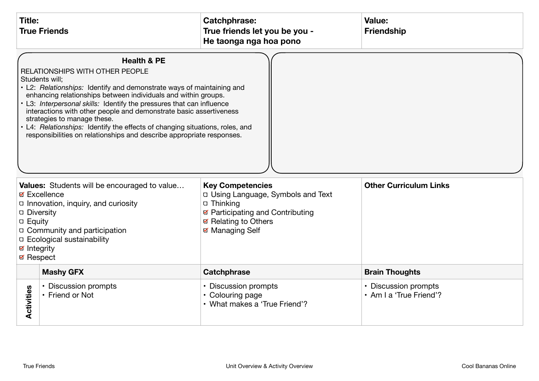| <b>Title:</b><br><b>True Friends</b> |                                                                                                                                                                                                                                                                                                                                                                                                                                                                                                                                                                                                                                                                                                                                                                                                                                                                                                                                                                                    | <b>Catchphrase:</b><br>True friends let you be you -<br>He taonga nga hoa pono | Value:<br><b>Friendship</b>                     |
|--------------------------------------|------------------------------------------------------------------------------------------------------------------------------------------------------------------------------------------------------------------------------------------------------------------------------------------------------------------------------------------------------------------------------------------------------------------------------------------------------------------------------------------------------------------------------------------------------------------------------------------------------------------------------------------------------------------------------------------------------------------------------------------------------------------------------------------------------------------------------------------------------------------------------------------------------------------------------------------------------------------------------------|--------------------------------------------------------------------------------|-------------------------------------------------|
| ☑ Integrity<br><b>Ø</b> Respect      | <b>Health &amp; PE</b><br>RELATIONSHIPS WITH OTHER PEOPLE<br>Students will;<br>• L2: Relationships: Identify and demonstrate ways of maintaining and<br>enhancing relationships between individuals and within groups.<br>• L3: Interpersonal skills: Identify the pressures that can influence<br>interactions with other people and demonstrate basic assertiveness<br>strategies to manage these.<br>• L4: Relationships: Identify the effects of changing situations, roles, and<br>responsibilities on relationships and describe appropriate responses.<br><b>Other Curriculum Links</b><br>Values: Students will be encouraged to value<br><b>Key Competencies</b><br>D Using Language, Symbols and Text<br>⊠ Excellence<br>□ Innovation, inquiry, and curiosity<br>□ Thinking<br>☑ Participating and Contributing<br><b>Diversity</b><br>☑ Relating to Others<br><b>D</b> Equity<br>□ Community and participation<br>☑ Managing Self<br><b>D</b> Ecological sustainability |                                                                                |                                                 |
|                                      | <b>Mashy GFX</b>                                                                                                                                                                                                                                                                                                                                                                                                                                                                                                                                                                                                                                                                                                                                                                                                                                                                                                                                                                   | Catchphrase                                                                    | <b>Brain Thoughts</b>                           |
| Activities                           | • Discussion prompts<br>• Friend or Not                                                                                                                                                                                                                                                                                                                                                                                                                                                                                                                                                                                                                                                                                                                                                                                                                                                                                                                                            | • Discussion prompts<br>• Colouring page<br>• What makes a 'True Friend'?      | • Discussion prompts<br>· Am I a 'True Friend'? |